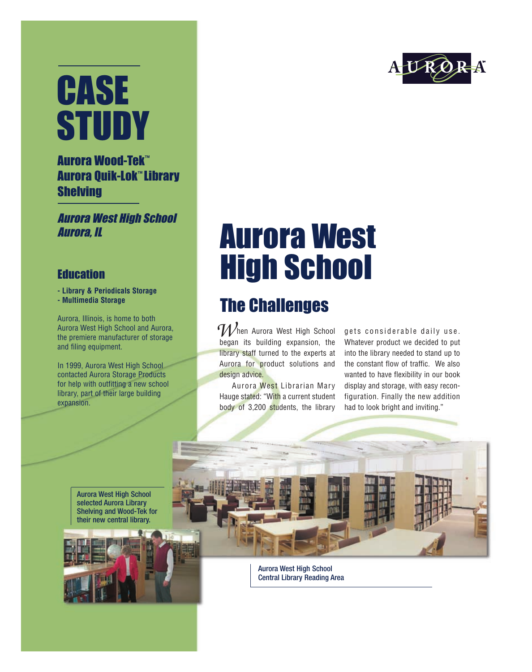# CASE **STUDY**

#### Aurora Wood-Tek™ Aurora Quik-Lok™ Library **Shelving**

Aurora West High School Aurora, IL

#### **Education**

- **Library & Periodicals Storage**
- **Multimedia Storage**

Aurora, Illinois, is home to both Aurora West High School and Aurora, the premiere manufacturer of storage and filing equipment.

In 1999, Aurora West High School contacted Aurora Storage Products for help with outfitting a new school library, part of their large building expansion.



## Aurora West High School

### The Challenges

hen Aurora West High School began its building expansion, the library staff turned to the experts at Aurora for product solutions and design advice. *W*

Aurora West Librarian Mary Hauge stated: "With a current student body of 3,200 students, the library

gets considerable daily use. Whatever product we decided to put into the library needed to stand up to the constant flow of traffic. We also wanted to have flexibility in our book display and storage, with easy reconfiguration. Finally the new addition had to look bright and inviting."

Aurora West High School selected Aurora Library Shelving and Wood-Tek for their new central library.



Aurora West High School Central Library Reading Area